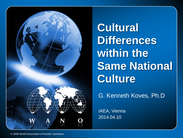

**Cultural Differences within the Same National Culture**

G. Kenneth Koves, Ph.D

IAEA, Vienna 2014.04.10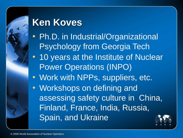## **Ken Koves**

- Ph.D. in Industrial/Organizational Psychology from Georgia Tech
- 10 years at the Institute of Nuclear Power Operations (INPO)
- Work with NPPs, suppliers, etc.
- Workshops on defining and assessing safety culture in China, Finland, France, India, Russia, Spain, and Ukraine

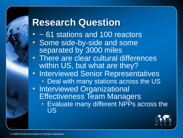### **Research Question**

- ~ 61 stations and 100 reactors
- Some side-by-side and some separated by 3000 miles
- There are clear cultural differences within US, but what are they?
- Interviewed Senior Representatives • Deal with many stations across the US
- Interviewed Organizational Effectiveness Team Managers
	- Evaluate many different NPPs across the US

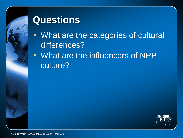

#### **Questions**

- What are the categories of cultural differences?
- What are the influencers of NPP culture?

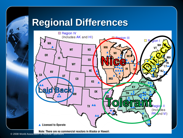# **Regional Differences**



Note: There are no commercial reactors in Alaska or Hawaii.

© 2008 World Assoc[iation of Nuclear Operators](http://www.nrc.gov/info-finder/reactor/)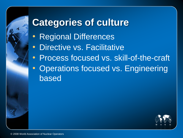# **Categories of culture**

- Regional Differences
- Directive vs. Facilitative
- Process focused vs. skill-of-the-craft
- Operations focused vs. Engineering based

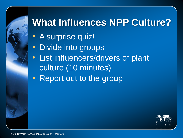# **What Influences NPP Culture?**

- A surprise quiz!
- Divide into groups
- List influencers/drivers of plant culture (10 minutes)
- Report out to the group

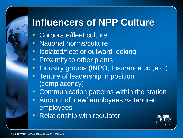# **Influencers of NPP Culture**

- Corporate/fleet culture
- National norms/culture
- Isolated/fleet or outward looking
- Proximity to other plants
- Industry groups (INPO, Insurance co., etc.)
- Tenure of leadership in position (complacency)
- Communication patterns within the station
- Amount of 'new' employees vs tenured employees
- Relationship with regulator

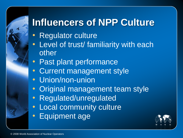# **Influencers of NPP Culture**

- Regulator culture
- Level of trust/ familiarity with each other
- Past plant performance
- Current management style
- Union/non-union
- Original management team style
- Regulated/unregulated
- Local community culture
- Equipment age